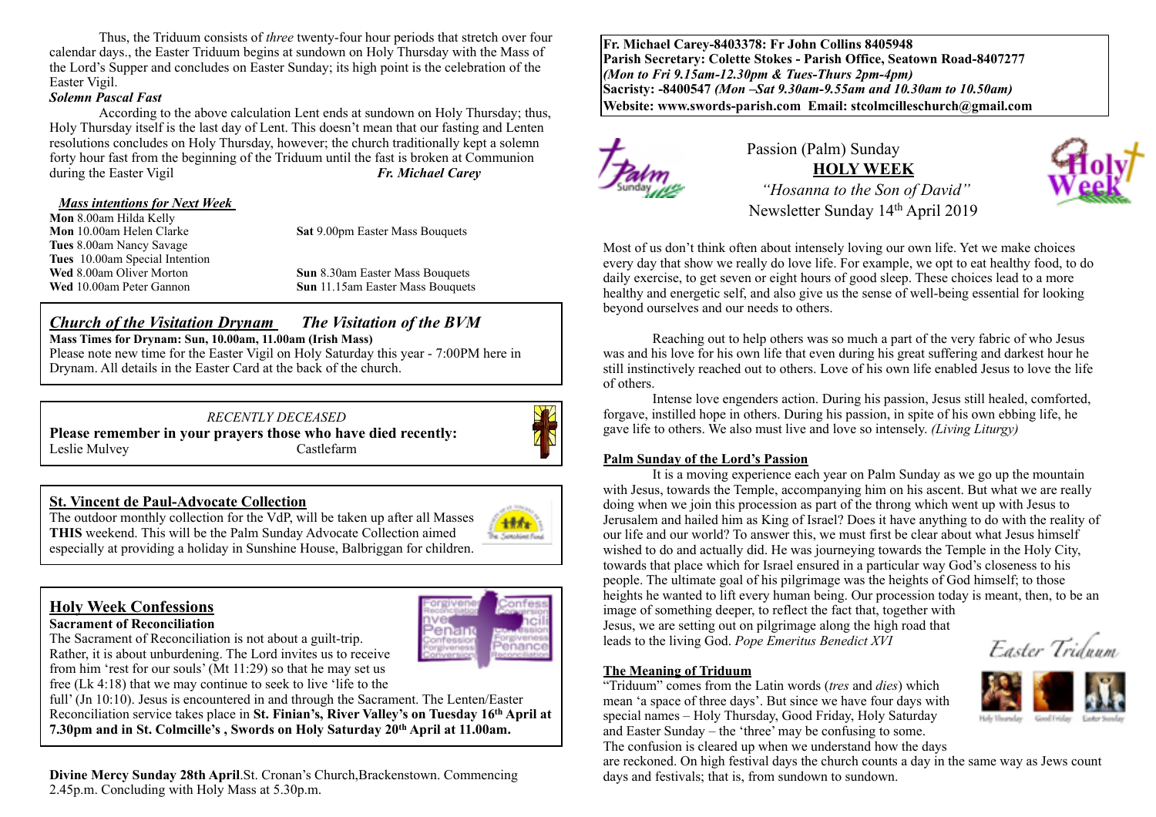Thus, the Triduum consists of *three* twenty-four hour periods that stretch over four calendar days., the Easter Triduum begins at sundown on Holy Thursday with the Mass of the Lord's Supper and concludes on Easter Sunday; its high point is the celebration of the Easter Vigil.

#### *Solemn Pascal Fast*

According to the above calculation Lent ends at sundown on Holy Thursday; thus, Holy Thursday itself is the last day of Lent. This doesn't mean that our fasting and Lenten resolutions concludes on Holy Thursday, however; the church traditionally kept a solemn forty hour fast from the beginning of the Triduum until the fast is broken at Communion during the Easter Vigil **Fr. Michael Carey** 

#### *Mass intentions for Next Week*

**Mon 8.00am Hilda Kelly<br><b>Mon 10.00am Helen Clarke Tues** 8.00am Nancy Savage **Tues** 10.00am Special Intention

**Sat 9.00pm Easter Mass Bouquets** 

**Wed** 8.00am Oliver Morton<br> **Sun** 8.30am Easter Mass Bouquets<br> **Sun** 11.15am Easter Mass Bouquets **Sun** 11.15am Easter Mass Bouquets

### *Church of the Visitation Drynam**The Visitation of the BVM*

**Mass Times for Drynam: Sun, 10.00am, 11.00am (Irish Mass)** 

Please note new time for the Easter Vigil on Holy Saturday this year - 7:00PM here in Drynam. All details in the Easter Card at the back of the church.

# *RECENTLY DECEASED*

**Please remember in your prayers those who have died recently:** Leslie Mulvey Castlefarm



### **St. Vincent de Paul-Advocate Collection**

The outdoor monthly collection for the VdP, will be taken up after all Masses **THIS** weekend. This will be the Palm Sunday Advocate Collection aimed especially at providing a holiday in Sunshine House, Balbriggan for children.

# **Holy Week Confessions**

#### **Sacrament of Reconciliation**

The Sacrament of Reconciliation is not about a guilt-trip. Rather, it is about unburdening. The Lord invites us to receive from him 'rest for our souls' (Mt 11:29) so that he may set us

enanc

free (Lk 4:18) that we may continue to seek to live 'life to the

full' (Jn 10:10). Jesus is encountered in and through the Sacrament. The Lenten/Easter Reconciliation service takes place in **St. Finian's, River Valley's on Tuesday 16th April at 7.30pm and in St. Colmcille's , Swords on Holy Saturday 20th April at 11.00am.** 

**Divine Mercy Sunday 28th April**.St. Cronan's Church,Brackenstown. Commencing 2.45p.m. Concluding with Holy Mass at 5.30p.m.

**Fr. Michael Carey-8403378: Fr John Collins 8405948 Parish Secretary: Colette Stokes - Parish Office, Seatown Road-8407277**  *(Mon to Fri 9.15am-12.30pm & Tues-Thurs 2pm-4pm)*  **Sacristy: -8400547** *(Mon –Sat 9.30am-9.55am and 10.30am to 10.50am)* **Website: [www.swords-parish.com Email:](http://www.swords-parish.com%20%20email) stcolmcilleschurch@gmail.com**



# Passion (Palm) Sunday **HOLY WEEK**   *"Hosanna to the Son of David"*  Newsletter Sunday 14th April 2019



Most of us don't think often about intensely loving our own life. Yet we make choices every day that show we really do love life. For example, we opt to eat healthy food, to do daily exercise, to get seven or eight hours of good sleep. These choices lead to a more healthy and energetic self, and also give us the sense of well-being essential for looking

Reaching out to help others was so much a part of the very fabric of who Jesus was and his love for his own life that even during his great suffering and darkest hour he still instinctively reached out to others. Love of his own life enabled Jesus to love the life of others.

Intense love engenders action. During his passion, Jesus still healed, comforted, forgave, instilled hope in others. During his passion, in spite of his own ebbing life, he gave life to others. We also must live and love so intensely. *(Living Liturgy)*

#### **Palm Sunday of the Lord's Passion**

beyond ourselves and our needs to others.

It is a moving experience each year on Palm Sunday as we go up the mountain with Jesus, towards the Temple, accompanying him on his ascent. But what we are really doing when we join this procession as part of the throng which went up with Jesus to Jerusalem and hailed him as King of Israel? Does it have anything to do with the reality of our life and our world? To answer this, we must first be clear about what Jesus himself wished to do and actually did. He was journeying towards the Temple in the Holy City, towards that place which for Israel ensured in a particular way God's closeness to his people. The ultimate goal of his pilgrimage was the heights of God himself; to those heights he wanted to lift every human being. Our procession today is meant, then, to be an image of something deeper, to reflect the fact that, together with Jesus, we are setting out on pilgrimage along the high road that

leads to the living God. *Pope Emeritus Benedict XVI*

Easter Triduum

#### **The Meaning of Triduum**

"Triduum" comes from the Latin words (*tres* and *dies*) which mean 'a space of three days'. But since we have four days with special names – Holy Thursday, Good Friday, Holy Saturday and Easter Sunday – the 'three' may be confusing to some. The confusion is cleared up when we understand how the days

are reckoned. On high festival days the church counts a day in the same way as Jews count days and festivals; that is, from sundown to sundown.